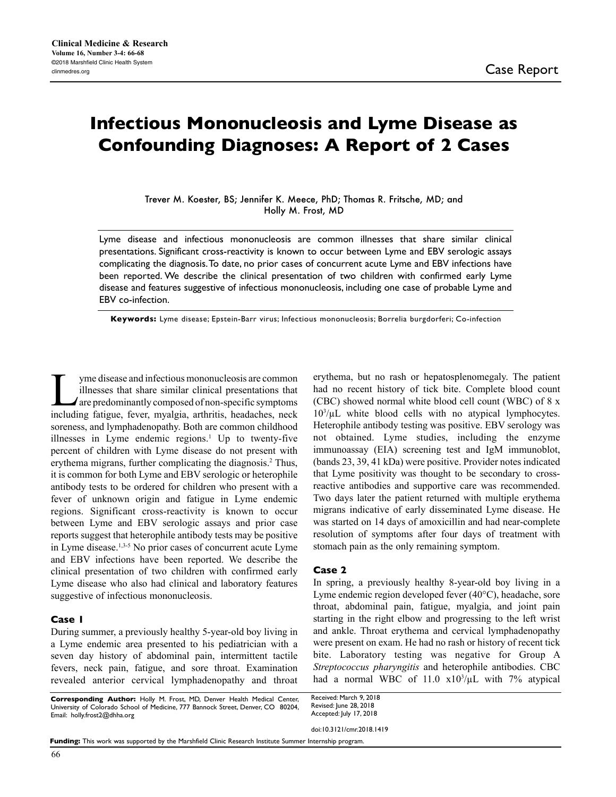# **Infectious Mononucleosis and Lyme Disease as Confounding Diagnoses: A Report of 2 Cases**

Trever M. Koester, BS; Jennifer K. Meece, PhD; Thomas R. Fritsche, MD; and Holly M. Frost, MD

Lyme disease and infectious mononucleosis are common illnesses that share similar clinical presentations. Significant cross-reactivity is known to occur between Lyme and EBV serologic assays complicating the diagnosis. To date, no prior cases of concurrent acute Lyme and EBV infections have been reported. We describe the clinical presentation of two children with confirmed early Lyme disease and features suggestive of infectious mononucleosis, including one case of probable Lyme and EBV co-infection.

**Keywords:** Lyme disease; Epstein-Barr virus; Infectious mononucleosis; Borrelia burgdorferi; Co-infection

T<br>
lyme disease and infectious mononucleosis are common<br>
illnesses that share similar clinical presentations that<br>
are predominantly composed of non-specific symptoms<br>
including fatious fever myalgia arthritis headaches ne illnesses that share similar clinical presentations that are predominantly composed of non-specific symptoms including fatigue, fever, myalgia, arthritis, headaches, neck soreness, and lymphadenopathy. Both are common childhood illnesses in Lyme endemic regions.<sup>1</sup> Up to twenty-five percent of children with Lyme disease do not present with erythema migrans, further complicating the diagnosis.<sup>2</sup> Thus, it is common for both Lyme and EBV serologic or heterophile antibody tests to be ordered for children who present with a fever of unknown origin and fatigue in Lyme endemic regions. Significant cross-reactivity is known to occur between Lyme and EBV serologic assays and prior case reports suggest that heterophile antibody tests may be positive in Lyme disease.<sup>1,3-5</sup> No prior cases of concurrent acute Lyme and EBV infections have been reported. We describe the clinical presentation of two children with confirmed early Lyme disease who also had clinical and laboratory features suggestive of infectious mononucleosis.

#### **Case 1**

During summer, a previously healthy 5-year-old boy living in a Lyme endemic area presented to his pediatrician with a seven day history of abdominal pain, intermittent tactile fevers, neck pain, fatigue, and sore throat. Examination revealed anterior cervical lymphadenopathy and throat

**Corresponding Author:** Holly M. Frost, MD, Denver Health Medical Center, University of Colorado School of Medicine, 777 Bannock Street, Denver, CO 80204, Email: holly.frost2@dhha.org

erythema, but no rash or hepatosplenomegaly. The patient had no recent history of tick bite. Complete blood count (CBC) showed normal white blood cell count (WBC) of 8 x 103 /µL white blood cells with no atypical lymphocytes. Heterophile antibody testing was positive. EBV serology was not obtained. Lyme studies, including the enzyme immunoassay (EIA) screening test and IgM immunoblot, (bands 23, 39, 41 kDa) were positive. Provider notes indicated that Lyme positivity was thought to be secondary to crossreactive antibodies and supportive care was recommended. Two days later the patient returned with multiple erythema migrans indicative of early disseminated Lyme disease. He was started on 14 days of amoxicillin and had near-complete resolution of symptoms after four days of treatment with stomach pain as the only remaining symptom.

#### **Case 2**

In spring, a previously healthy 8-year-old boy living in a Lyme endemic region developed fever (40°C), headache, sore throat, abdominal pain, fatigue, myalgia, and joint pain starting in the right elbow and progressing to the left wrist and ankle. Throat erythema and cervical lymphadenopathy were present on exam. He had no rash or history of recent tick bite. Laboratory testing was negative for Group A *Streptococcus pharyngitis* and heterophile antibodies. CBC had a normal WBC of 11.0 x10<sup>3</sup>/µL with 7% atypical

Received: March 9, 2018 Revised: June 28, 2018 Accepted: July 17, 2018

doi:10.3121/cmr.2018.1419

**Funding:** This work was supported by the Marshfield Clinic Research Institute Summer Internship program.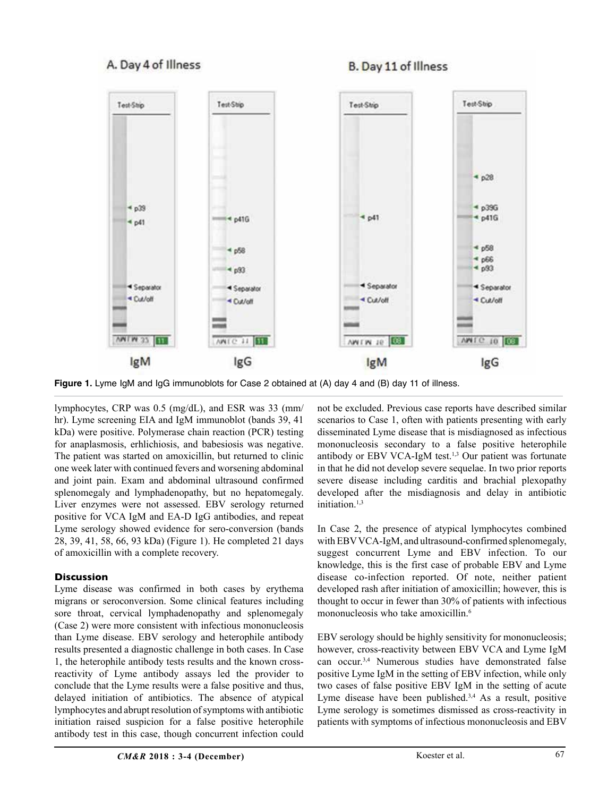# A. Day 4 of Illness

**B. Day 11 of Illness** 



**Figure 1.** Lyme IgM and IgG immunoblots for Case 2 obtained at (A) day 4 and (B) day 11 of illness.

lymphocytes, CRP was 0.5 (mg/dL), and ESR was 33 (mm/ hr). Lyme screening EIA and IgM immunoblot (bands 39, 41 kDa) were positive. Polymerase chain reaction (PCR) testing for anaplasmosis, erhlichiosis, and babesiosis was negative. The patient was started on amoxicillin, but returned to clinic one week later with continued fevers and worsening abdominal and joint pain. Exam and abdominal ultrasound confirmed splenomegaly and lymphadenopathy, but no hepatomegaly. Liver enzymes were not assessed. EBV serology returned positive for VCA IgM and EA-D IgG antibodies, and repeat Lyme serology showed evidence for sero-conversion (bands 28, 39, 41, 58, 66, 93 kDa) (Figure 1). He completed 21 days of amoxicillin with a complete recovery.

# **Discussion**

Lyme disease was confirmed in both cases by erythema migrans or seroconversion. Some clinical features including sore throat, cervical lymphadenopathy and splenomegaly (Case 2) were more consistent with infectious mononucleosis than Lyme disease. EBV serology and heterophile antibody results presented a diagnostic challenge in both cases. In Case 1, the heterophile antibody tests results and the known crossreactivity of Lyme antibody assays led the provider to conclude that the Lyme results were a false positive and thus, delayed initiation of antibiotics. The absence of atypical lymphocytes and abrupt resolution of symptoms with antibiotic initiation raised suspicion for a false positive heterophile antibody test in this case, though concurrent infection could

not be excluded. Previous case reports have described similar scenarios to Case 1, often with patients presenting with early disseminated Lyme disease that is misdiagnosed as infectious mononucleosis secondary to a false positive heterophile antibody or EBV VCA-IgM test.<sup>1,3</sup> Our patient was fortunate in that he did not develop severe sequelae. In two prior reports severe disease including carditis and brachial plexopathy developed after the misdiagnosis and delay in antibiotic initiation.<sup>1,3</sup>

In Case 2, the presence of atypical lymphocytes combined with EBV VCA-IgM, and ultrasound-confirmed splenomegaly, suggest concurrent Lyme and EBV infection. To our knowledge, this is the first case of probable EBV and Lyme disease co-infection reported. Of note, neither patient developed rash after initiation of amoxicillin; however, this is thought to occur in fewer than 30% of patients with infectious mononucleosis who take amoxicillin.<sup>6</sup>

EBV serology should be highly sensitivity for mononucleosis; however, cross-reactivity between EBV VCA and Lyme IgM can occur.3,4 Numerous studies have demonstrated false positive Lyme IgM in the setting of EBV infection, while only two cases of false positive EBV IgM in the setting of acute Lyme disease have been published.<sup>3,4</sup> As a result, positive Lyme serology is sometimes dismissed as cross-reactivity in patients with symptoms of infectious mononucleosis and EBV